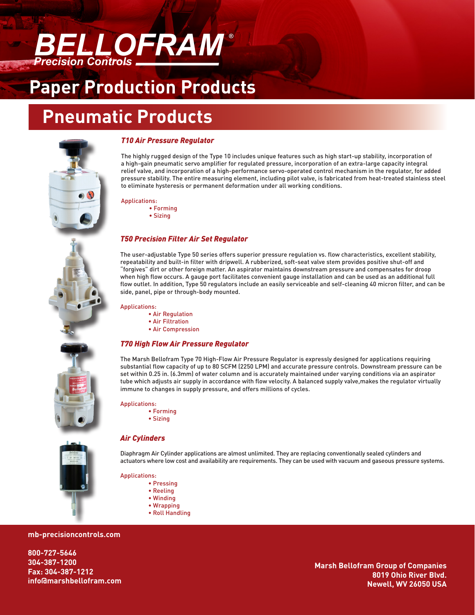

### **Paper Production Products**

### **Pneumatic Products**



### *T10 Air Pressure Regulator*

The highly rugged design of the Type 10 includes unique features such as high start-up stability, incorporation of a high-gain pneumatic servo amplifier for regulated pressure, incorporation of an extra-large capacity integral relief valve, and incorporation of a high-performance servo-operated control mechanism in the regulator, for added pressure stability. The entire measuring element, including pilot valve, is fabricated from heat-treated stainless steel to eliminate hysteresis or permanent deformation under all working conditions.

#### Applications:

∙ Forming

∙ Sizing

### *T50 Precision Filter Air Set Regulator*

The user-adjustable Type 50 series offers superior pressure regulation vs. flow characteristics, excellent stability, repeatability and built-in filter with dripwell. A rubberized, soft-seat valve stem provides positive shut-off and "forgives" dirt or other foreign matter. An aspirator maintains downstream pressure and compensates for droop when high flow occurs. A gauge port facilitates convenient gauge installation and can be used as an additional full flow outlet. In addition, Type 50 regulators include an easily serviceable and self-cleaning 40 micron filter, and can be side, panel, pipe or through-body mounted.

Applications:

- ∙ Air Regulation
- ∙ Air Filtration
- ∙ Air Compression

### *T70 High Flow Air Pressure Regulator*

The Marsh Bellofram Type 70 High-Flow Air Pressure Regulator is expressly designed for applications requiring substantial flow capacity of up to 80 SCFM (2250 LPM) and accurate pressure controls. Downstream pressure can be set within 0.25 in. (6.3mm) of water column and is accurately maintained under varying conditions via an aspirator tube which adjusts air supply in accordance with flow velocity. A balanced supply valve,makes the regulator virtually immune to changes in supply pressure, and offers millions of cycles.

#### Applications:

- ∙ Forming
- ∙ Sizing

Diaphragm Air Cylinder applications are almost unlimited. They are replacing conventionally sealed cylinders and actuators where low cost and availability are requirements. They can be used with vacuum and gaseous pressure systems.

Applications:

*Air Cylinders*

- ∙ Pressing
	- ∙ Reeling
	- ∙ Winding
	- ∙ Wrapping
	- ∙ Roll Handling

### **mb-precisioncontrols.com**

**800-727-5646 304-387-1200 Fax: 304-387-1212 info@marshbellofram.com**

**Marsh Bellofram Group of Companies 8019 Ohio River Blvd. Newell, WV 26050 USA**